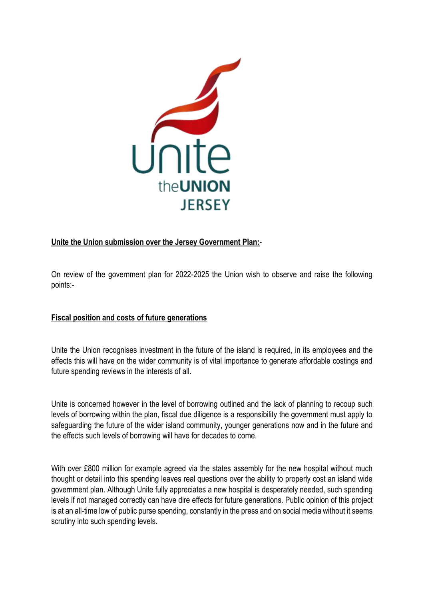

# **Unite the Union submission over the Jersey Government Plan:**-

On review of the government plan for 2022-2025 the Union wish to observe and raise the following points:-

### **Fiscal position and costs of future generations**

Unite the Union recognises investment in the future of the island is required, in its employees and the effects this will have on the wider community is of vital importance to generate affordable costings and future spending reviews in the interests of all.

Unite is concerned however in the level of borrowing outlined and the lack of planning to recoup such levels of borrowing within the plan, fiscal due diligence is a responsibility the government must apply to safeguarding the future of the wider island community, younger generations now and in the future and the effects such levels of borrowing will have for decades to come.

With over £800 million for example agreed via the states assembly for the new hospital without much thought or detail into this spending leaves real questions over the ability to properly cost an island wide government plan. Although Unite fully appreciates a new hospital is desperately needed, such spending levels if not managed correctly can have dire effects for future generations. Public opinion of this project is at an all-time low of public purse spending, constantly in the press and on social media without it seems scrutiny into such spending levels.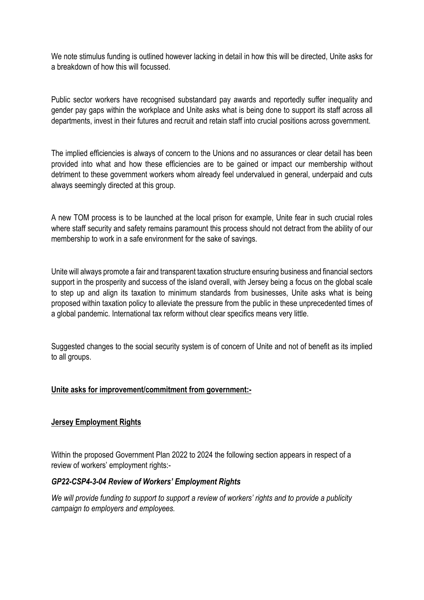We note stimulus funding is outlined however lacking in detail in how this will be directed, Unite asks for a breakdown of how this will focussed.

Public sector workers have recognised substandard pay awards and reportedly suffer inequality and gender pay gaps within the workplace and Unite asks what is being done to support its staff across all departments, invest in their futures and recruit and retain staff into crucial positions across government.

The implied efficiencies is always of concern to the Unions and no assurances or clear detail has been provided into what and how these efficiencies are to be gained or impact our membership without detriment to these government workers whom already feel undervalued in general, underpaid and cuts always seemingly directed at this group.

A new TOM process is to be launched at the local prison for example, Unite fear in such crucial roles where staff security and safety remains paramount this process should not detract from the ability of our membership to work in a safe environment for the sake of savings.

Unite will always promote a fair and transparent taxation structure ensuring business and financial sectors support in the prosperity and success of the island overall, with Jersey being a focus on the global scale to step up and align its taxation to minimum standards from businesses, Unite asks what is being proposed within taxation policy to alleviate the pressure from the public in these unprecedented times of a global pandemic. International tax reform without clear specifics means very little.

Suggested changes to the social security system is of concern of Unite and not of benefit as its implied to all groups.

### **Unite asks for improvement/commitment from government:-**

### **Jersey Employment Rights**

Within the proposed Government Plan 2022 to 2024 the following section appears in respect of a review of workers' employment rights:-

### *GP22-CSP4-3-04 Review of Workers' Employment Rights*

*We will provide funding to support to support a review of workers' rights and to provide a publicity campaign to employers and employees.*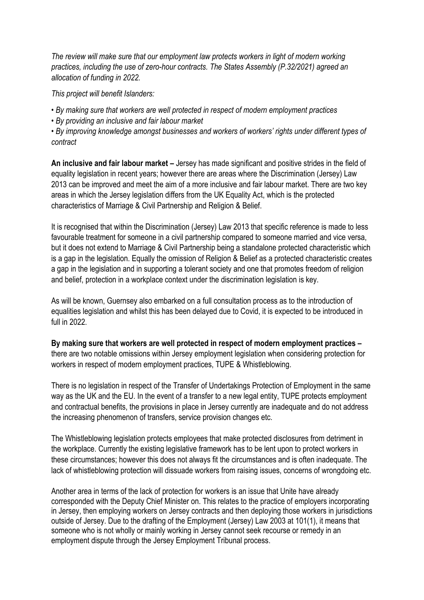*The review will make sure that our employment law protects workers in light of modern working practices, including the use of zero-hour contracts. The States Assembly (P.32/2021) agreed an allocation of funding in 2022.* 

*This project will benefit Islanders:* 

- *By making sure that workers are well protected in respect of modern employment practices*
- *By providing an inclusive and fair labour market*

*• By improving knowledge amongst businesses and workers of workers' rights under different types of contract*

**An inclusive and fair labour market –** Jersey has made significant and positive strides in the field of equality legislation in recent years; however there are areas where the Discrimination (Jersey) Law 2013 can be improved and meet the aim of a more inclusive and fair labour market. There are two key areas in which the Jersey legislation differs from the UK Equality Act, which is the protected characteristics of Marriage & Civil Partnership and Religion & Belief.

It is recognised that within the Discrimination (Jersey) Law 2013 that specific reference is made to less favourable treatment for someone in a civil partnership compared to someone married and vice versa, but it does not extend to Marriage & Civil Partnership being a standalone protected characteristic which is a gap in the legislation. Equally the omission of Religion & Belief as a protected characteristic creates a gap in the legislation and in supporting a tolerant society and one that promotes freedom of religion and belief, protection in a workplace context under the discrimination legislation is key.

As will be known, Guernsey also embarked on a full consultation process as to the introduction of equalities legislation and whilst this has been delayed due to Covid, it is expected to be introduced in full in 2022.

**By making sure that workers are well protected in respect of modern employment practices –** there are two notable omissions within Jersey employment legislation when considering protection for workers in respect of modern employment practices, TUPE & Whistleblowing.

There is no legislation in respect of the Transfer of Undertakings Protection of Employment in the same way as the UK and the EU. In the event of a transfer to a new legal entity, TUPE protects employment and contractual benefits, the provisions in place in Jersey currently are inadequate and do not address the increasing phenomenon of transfers, service provision changes etc.

The Whistleblowing legislation protects employees that make protected disclosures from detriment in the workplace. Currently the existing legislative framework has to be lent upon to protect workers in these circumstances; however this does not always fit the circumstances and is often inadequate. The lack of whistleblowing protection will dissuade workers from raising issues, concerns of wrongdoing etc.

Another area in terms of the lack of protection for workers is an issue that Unite have already corresponded with the Deputy Chief Minister on. This relates to the practice of employers incorporating in Jersey, then employing workers on Jersey contracts and then deploying those workers in jurisdictions outside of Jersey. Due to the drafting of the Employment (Jersey) Law 2003 at 101(1), it means that someone who is not wholly or mainly working in Jersey cannot seek recourse or remedy in an employment dispute through the Jersey Employment Tribunal process.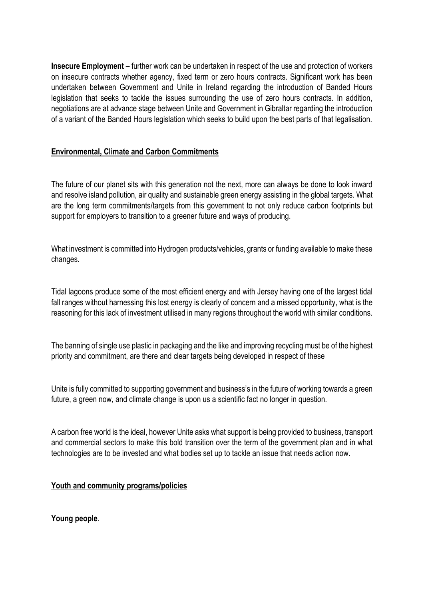**Insecure Employment –** further work can be undertaken in respect of the use and protection of workers on insecure contracts whether agency, fixed term or zero hours contracts. Significant work has been undertaken between Government and Unite in Ireland regarding the introduction of Banded Hours legislation that seeks to tackle the issues surrounding the use of zero hours contracts. In addition, negotiations are at advance stage between Unite and Government in Gibraltar regarding the introduction of a variant of the Banded Hours legislation which seeks to build upon the best parts of that legalisation.

## **Environmental, Climate and Carbon Commitments**

The future of our planet sits with this generation not the next, more can always be done to look inward and resolve island pollution, air quality and sustainable green energy assisting in the global targets. What are the long term commitments/targets from this government to not only reduce carbon footprints but support for employers to transition to a greener future and ways of producing.

What investment is committed into Hydrogen products/vehicles, grants or funding available to make these changes.

Tidal lagoons produce some of the most efficient energy and with Jersey having one of the largest tidal fall ranges without harnessing this lost energy is clearly of concern and a missed opportunity, what is the reasoning for this lack of investment utilised in many regions throughout the world with similar conditions.

The banning of single use plastic in packaging and the like and improving recycling must be of the highest priority and commitment, are there and clear targets being developed in respect of these

Unite is fully committed to supporting government and business's in the future of working towards a green future, a green now, and climate change is upon us a scientific fact no longer in question.

A carbon free world is the ideal, however Unite asks what support is being provided to business, transport and commercial sectors to make this bold transition over the term of the government plan and in what technologies are to be invested and what bodies set up to tackle an issue that needs action now.

# **Youth and community programs/policies**

**Young people**.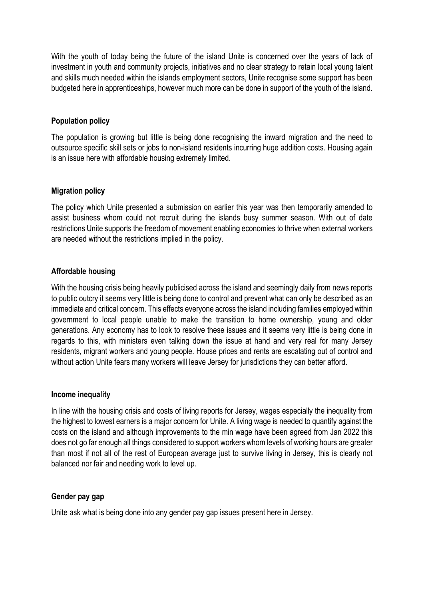With the youth of today being the future of the island Unite is concerned over the years of lack of investment in youth and community projects, initiatives and no clear strategy to retain local young talent and skills much needed within the islands employment sectors, Unite recognise some support has been budgeted here in apprenticeships, however much more can be done in support of the youth of the island.

### **Population policy**

The population is growing but little is being done recognising the inward migration and the need to outsource specific skill sets or jobs to non-island residents incurring huge addition costs. Housing again is an issue here with affordable housing extremely limited.

#### **Migration policy**

The policy which Unite presented a submission on earlier this year was then temporarily amended to assist business whom could not recruit during the islands busy summer season. With out of date restrictions Unite supports the freedom of movement enabling economies to thrive when external workers are needed without the restrictions implied in the policy.

### **Affordable housing**

With the housing crisis being heavily publicised across the island and seemingly daily from news reports to public outcry it seems very little is being done to control and prevent what can only be described as an immediate and critical concern. This effects everyone across the island including families employed within government to local people unable to make the transition to home ownership, young and older generations. Any economy has to look to resolve these issues and it seems very little is being done in regards to this, with ministers even talking down the issue at hand and very real for many Jersey residents, migrant workers and young people. House prices and rents are escalating out of control and without action Unite fears many workers will leave Jersey for jurisdictions they can better afford.

#### **Income inequality**

In line with the housing crisis and costs of living reports for Jersey, wages especially the inequality from the highest to lowest earners is a major concern for Unite. A living wage is needed to quantify against the costs on the island and although improvements to the min wage have been agreed from Jan 2022 this does not go far enough all things considered to support workers whom levels of working hours are greater than most if not all of the rest of European average just to survive living in Jersey, this is clearly not balanced nor fair and needing work to level up.

#### **Gender pay gap**

Unite ask what is being done into any gender pay gap issues present here in Jersey.